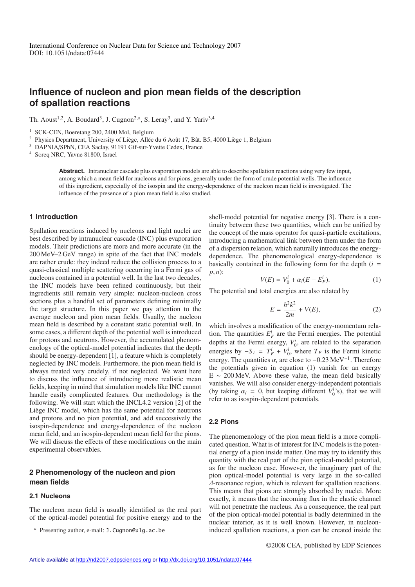# **Influence of nucleon and pion mean fields of the description of spallation reactions**

Th. Aoust<sup>1,2</sup>, A. Boudard<sup>3</sup>, J. Cugnon<sup>2,a</sup>, S. Leray<sup>3</sup>, and Y. Yariv<sup>3,4</sup>

<sup>1</sup> SCK-CEN, Boeretang 200, 2400 Mol, Belgium

<sup>2</sup> Physics Department, University of Liège, Allée du 6 Août 17, Bât. B5, 4000 Liège 1, Belgium

<sup>3</sup> DAPNIA/SPhN, CEA Saclay, 91191 Gif-sur-Yvette Cedex, France

<sup>4</sup> Soreq NRC, Yavne 81800, Israel

**Abstract.** Intranuclear cascade plus evaporation models are able to describe spallation reactions using very few input, among which a mean field for nucleons and for pions, generally under the form of crude potential wells. The influence of this ingredient, especially of the isospin and the energy-dependence of the nucleon mean field is investigated. The influence of the presence of a pion mean field is also studied.

## **1 Introduction**

Spallation reactions induced by nucleons and light nuclei are best described by intranuclear cascade (INC) plus evaporation models. Their predictions are more and more accurate (in the 200 MeV–2 GeV range) in spite of the fact that INC models are rather crude: they indeed reduce the collision process to a quasi-classical multiple scattering occurring in a Fermi gas of nucleons contained in a potential well. In the last two decades, the INC models have been refined continuously, but their ingredients still remain very simple: nucleon-nucleon cross sections plus a handful set of parameters defining minimally the target structure. In this paper we pay attention to the average nucleon and pion mean fields. Usually, the nucleon mean field is described by a constant static potential well. In some cases, a different depth of the potential well is introduced for protons and neutrons. However, the accumulated phenomenology of the optical-model potential indicates that the depth should be energy-dependent [1], a feature which is completely neglected by INC models. Furthermore, the pion mean field is always treated very crudely, if not neglected. We want here to discuss the influence of introducing more realistic mean fields, keeping in mind that simulation models like INC cannot handle easily complicated features. Our methodology is the following. We will start which the INCL4.2 version [2] of the Liège INC model, which has the same potential for neutrons and protons and no pion potential, and add successively the isospin-dependence and energy-dependence of the nucleon mean field, and an isospin-dependent mean field for the pions. We will discuss the effects of these modifications on the main experimental observables.

## **2 Phenomenology of the nucleon and pion mean fields**

#### **2.1 Nucleons**

The nucleon mean field is usually identified as the real part of the optical-model potential for positive energy and to the shell-model potential for negative energy [3]. There is a continuity between these two quantities, which can be unified by the concept of the mass operator for quasi-particle excitations, introducing a mathematical link between them under the form of a dispersion relation, which naturally introduces the energydependence. The phenomenological energy-dependence is basically contained in the following form for the depth  $(i =$ *p*, *n*):

$$
V(E) = V_0^i + \alpha_i (E - E_F^i).
$$
 (1)

The potential and total energies are also related by

$$
E = \frac{\hbar^2 k^2}{2m} + V(E),
$$
 (2)

which involves a modification of the energy-momentum relation. The quantities  $E_F^i$  are the Fermi energies. The potential depths at the Fermi energy,  $V_0^i$ , are related to the separation energies by  $-S_i = T_F^i + V_0^i$ , where  $T_F$  is the Fermi kinetic energy. The quantities  $\alpha_i$  are close to  $-0.23 \text{ MeV}^{-1}$ . Therefore the potentials given in equation (1) vanish for an energy  $E \sim 200$  MeV. Above these value, the mean field basically vanishes. We will also consider energy-independent potentials (by taking  $\alpha_i = 0$ , but keeping different  $\bar{V}_0^i$ 's), that we will refer to as isospin-dependent potentials.

## **2.2 Pions**

The phenomenology of the pion mean field is a more complicated question. What is of interest for INC models is the potential energy of a pion inside matter. One may try to identify this quantity with the real part of the pion optical-model potential, as for the nucleon case. However, the imaginary part of the pion optical-model potential is very large in the so-called ∆-resonance region, which is relevant for spallation reactions. This means that pions are strongly absorbed by nuclei. More exactly, it means that the incoming flux in the elastic channel will not penetrate the nucleus. As a consequence, the real part of the pion optical-model potential is badly determined in the nuclear interior, as it is well known. However, in nucleoninduced spallation reactions, a pion can be created inside the

Presenting author, e-mail: J.Cugnon@ulg.ac.be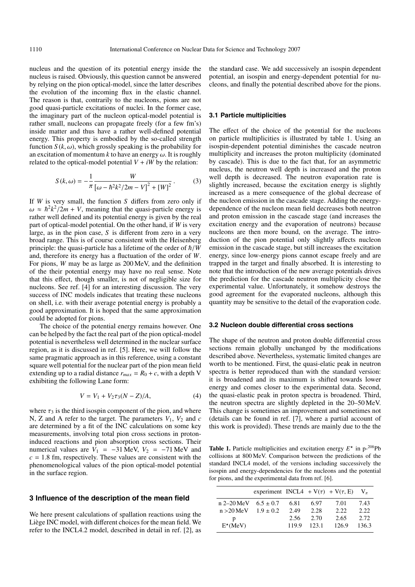nucleus and the question of its potential energy inside the nucleus is raised. Obviously, this question cannot be answered by relying on the pion optical-model, since the latter describes the evolution of the incoming flux in the elastic channel. The reason is that, contrarily to the nucleons, pions are not good quasi-particle excitations of nuclei. In the former case, the imaginary part of the nucleon optical-model potential is rather small, nucleons can propagate freely (for a few fm's) inside matter and thus have a rather well-defined potential energy. This property is embodied by the so-called strength function  $S(k, \omega)$ , which grossly speaking is the probability for an excitation of momentum *k* to have an energy  $\omega$ . It is roughly related to the optical-model potential  $V + iW$  by the relation:

$$
S(k,\omega) = -\frac{1}{\pi} \frac{W}{\left[\omega - \hbar^2 k^2 / 2m - V\right]^2 + [W]^2}.
$$
 (3)

If *W* is very small, the function *S* differs from zero only if  $\omega \approx \hbar^2 k^2 / 2m + V$ , meaning that the quasi-particle energy is rather well defined and its potential energy is given by the real part of optical-model potential. On the other hand, if *W* is very large, as in the pion case, *S* is different from zero in a very broad range. This is of course consistent with the Heisenberg principle: the quasi-particle has a lifetime of the order of  $\hbar /W$ and, therefore its energy has a fluctuation of the order of *W*. For pions, *W* may be as large as 200 MeV, and the definition of the their potential energy may have no real sense. Note that this effect, though smaller, is not of negligible size for nucleons. See ref. [4] for an interesting discussion. The very success of INC models indicates that treating these nucleons on shell, i.e. with their average potential energy is probably a good approximation. It is hoped that the same approximation could be adopted for pions.

The choice of the potential energy remains however. One can be helped by the fact the real part of the pion optical-model potential is nevertheless well determined in the nuclear surface region, as it is discussed in ref. [5]. Here, we will follow the same pragmatic approach as in this reference, using a constant square well potential for the nuclear part of the pion mean field extending up to a radial distance  $r_{max} = R_0 + c$ , with a depth V exhibiting the following Lane form:

$$
V = V_1 + V_2 \tau_3 (N - Z) / A, \tag{4}
$$

where  $\tau_3$  is the third isospin component of the pion, and where N, Z and A refer to the target. The parameters  $V_1$ ,  $V_2$  and  $c$ are determined by a fit of the INC calculations on some key measurements, involving total pion cross sections in protoninduced reactions and pion absorption cross sections. Their numerical values are  $V_1 = -31$  MeV,  $V_2 = -71$  MeV and  $c = 1.8$  fm, respectively. These values are consistent with the phenomenological values of the pion optical-model potential in the surface region.

## **3 Influence of the description of the mean field**

We here present calculations of spallation reactions using the Liège INC model, with different choices for the mean field. We refer to the INCL4.2 model, described in detail in ref. [2], as

the standard case. We add successively an isospin dependent potential, an isospin and energy-dependent potential for nucleons, and finally the potential described above for the pions.

## **3.1 Particle multiplicities**

The effect of the choice of the potential for the nucleons on particle multiplicities is illustrated by table 1. Using an isospin-dependent potential diminishes the cascade neutron multiplicity and increases the proton multiplicity (dominated by cascade). This is due to the fact that, for an asymmetric nucleus, the neutron well depth is increased and the proton well depth is decreased. The neutron evaporation rate is slightly increased, because the excitation energy is slightly increased as a mere consequence of the global decrease of the nucleon emission in the cascade stage. Adding the energydependence of the nucleon mean field decreases both neutron and proton emission in the cascade stage (and increases the excitation energy and the evaporation of neutrons) because nucleons are then more bound, on the average. The introduction of the pion potential only slightly affects nucleon emission in the cascade stage, but still increases the excitation energy, since low-energy pions cannot escape freely and are trapped in the target and finally absorbed. It is interesting to note that the introduction of the new average potentials drives the prediction for the cascade neutron multiplicity close the experimental value. Unfortunately, it somehow destroys the good agreement for the evaporated nucleons, although this quantity may be sensitive to the detail of the evaporation code.

## **3.2 Nucleon double differential cross sections**

The shape of the neutron and proton double differential cross sections remain globally unchanged by the modifications described above. Nevertheless, systematic limited changes are worth to be mentioned. First, the quasi-elatic peak in neutron spectra is better reproduced than with the standard version: it is broadened and its maximum is shifted towards lower energy and comes closer to the experimental data. Second, the quasi-elastic peak in proton spectra is broadened. Third, the neutron spectra are slightly depleted in the 20–50 MeV. This change is sometimes an improvement and sometimes not (details can be found in ref. [7], where a partial account of this work is provided). These trends are mainly due to the the

**Table 1.** Particle multiplicities and excitation energy  $E^*$  in p-<sup>208</sup>Pb collisions at 800 MeV. Comparison between the predictions of the standard INCL4 model, of the versions including successively the isospin and energy-dependencies for the nucleons and the potential for pions, and the experimental data from ref. [6].

|                            | experiment INCL4 + $V(\tau)$ + $V(\tau, E)$ |       |      |       |       |
|----------------------------|---------------------------------------------|-------|------|-------|-------|
| $n 2-20$ MeV $6.5 \pm 0.7$ |                                             | 6.81  | 6.97 | 7.01  | 7.43  |
| $n > 20$ MeV $1.9 \pm 0.2$ |                                             | 2.49  | 2.28 | 2.22. | 2.22. |
| p                          |                                             | 2.56  | 2.70 | 2.65  | 2.72  |
| $E^*(MeV)$                 |                                             | 119.9 | 1231 | 126.9 | 136.3 |
|                            |                                             |       |      |       |       |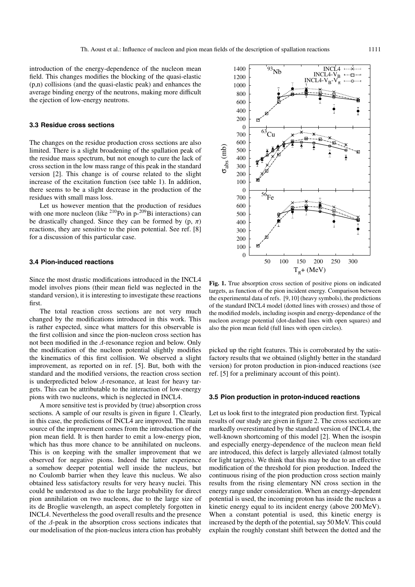introduction of the energy-dependence of the nucleon mean field. This changes modifies the blocking of the quasi-elastic (p,n) collisions (and the quasi-elastic peak) and enhances the average binding energy of the neutrons, making more difficult the ejection of low-energy neutrons.

## **3.3 Residue cross sections**

The changes on the residue production cross sections are also limited. There is a slight broadening of the spallation peak of the residue mass spectrum, but not enough to cure the lack of cross section in the low mass range of this peak in the standard version [2]. This change is of course related to the slight increase of the excitation function (see table 1). In addition, there seems to be a slight decrease in the production of the residues with small mass loss.

Let us however mention that the production of residues with one more nucleon (like  $^{210}$ Po in p<sup>-209</sup>Bi interactions) can be drastically changed. Since they can be formed by  $(p, \pi)$ reactions, they are sensitive to the pion potential. See ref. [8] for a discussion of this particular case.

## **3.4 Pion-induced reactions**

Since the most drastic modifications introduced in the INCL4 model involves pions (their mean field was neglected in the standard version), it is interesting to investigate these reactions first.

The total reaction cross sections are not very much changed by the modifications introduced in this work. This is rather expected, since what matters for this observable is the first collision and since the pion-nucleon cross section has not been modified in the ∆-resonance region and below. Only the modification of the nucleon potential slightly modifies the kinematics of this first collision. We observed a slight improvement, as reported on in ref. [5]. But, both with the standard and the modified versions, the reaction cross section is underpredicted below ∆-resonance, at least for heavy targets. This can be attributable to the interaction of low-energy pions with two nucleons, which is neglected in INCL4.

A more sensitive test is provided by (true) absorption cross sections. A sample of our results is given in figure 1. Clearly, in this case, the predictions of INCL4 are improved. The main source of the improvement comes from the introduction of the pion mean field. It is then harder to emit a low-energy pion, which has thus more chance to be annihilated on nucleons. This is on keeping with the smaller improvement that we observed for negative pions. Indeed the latter experience a somehow deeper potential well inside the nucleus, but no Coulomb barrier when they leave this nucleus. We also obtained less satisfactory results for very heavy nuclei. This could be understood as due to the large probability for direct pion annihilation on two nucleons, due to the large size of its de Broglie wavelength, an aspect completely forgotten in INCL4. Nevertheless the good overall results and the presence of the ∆-peak in the absorption cross sections indicates that our modelisation of the pion-nucleus intera ction has probably



**Fig. 1.** True absorption cross section of positive pions on indicated targets, as function of the pion incident energy. Comparison between the experimental data of refs. [9, 10] (heavy symbols), the predictions of the standard INCL4 model (dotted lines with crosses) and those of the modified models, including isospin and energy-dependance of the nucleon average potential (dot-dashed lines with open squares) and also the pion mean field (full lines with open circles).

picked up the right features. This is corroborated by the satisfactory results that we obtained (slightly better in the standard version) for proton production in pion-induced reactions (see ref. [5] for a preliminary account of this point).

### **3.5 Pion production in proton-induced reactions**

Let us look first to the integrated pion production first. Typical results of our study are given in figure 2. The cross sections are markedly overestimated by the standard version of INCL4, the well-known shortcoming of this model [2]. When the isospin and especially energy-dependence of the nucleon mean field are introduced, this defect is largely alleviated (almost totally for light targets). We think that this may be due to an effective modification of the threshold for pion production. Indeed the continuous rising of the pion production cross section mainly results from the rising elementary NN cross section in the energy range under consideration. When an energy-dependent potential is used, the incoming proton has inside the nucleus a kinetic energy equal to its incident energy (above 200 MeV). When a constant potential is used, this kinetic energy is increased by the depth of the potential, say 50 MeV. This could explain the roughly constant shift between the dotted and the